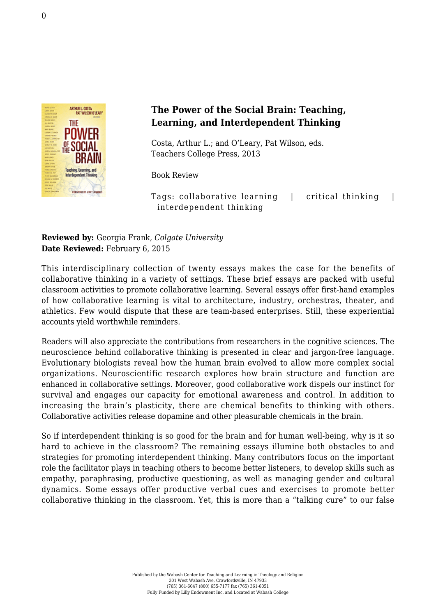

## **The Power of the Social Brain: Teaching, Learning, and Interdependent Thinking**

Costa, Arthur L.; and O'Leary, Pat Wilson, eds. [Teachers College Press, 2013](http://store.tcpress.com/0807754145.shtml)

Book Review

Tags: collaborative learning | critical thinking | interdependent thinking

## **Reviewed by:** Georgia Frank, *Colgate University* **Date Reviewed:** February 6, 2015

This interdisciplinary collection of twenty essays makes the case for the benefits of collaborative thinking in a variety of settings. These brief essays are packed with useful classroom activities to promote collaborative learning. Several essays offer first-hand examples of how collaborative learning is vital to architecture, industry, orchestras, theater, and athletics. Few would dispute that these are team-based enterprises. Still, these experiential accounts yield worthwhile reminders.

Readers will also appreciate the contributions from researchers in the cognitive sciences. The neuroscience behind collaborative thinking is presented in clear and jargon-free language. Evolutionary biologists reveal how the human brain evolved to allow more complex social organizations. Neuroscientific research explores how brain structure and function are enhanced in collaborative settings. Moreover, good collaborative work dispels our instinct for survival and engages our capacity for emotional awareness and control. In addition to increasing the brain's plasticity, there are chemical benefits to thinking with others. Collaborative activities release dopamine and other pleasurable chemicals in the brain.

So if interdependent thinking is so good for the brain and for human well-being, why is it so hard to achieve in the classroom? The remaining essays illumine both obstacles to and strategies for promoting interdependent thinking. Many contributors focus on the important role the facilitator plays in teaching others to become better listeners, to develop skills such as empathy, paraphrasing, productive questioning, as well as managing gender and cultural dynamics. Some essays offer productive verbal cues and exercises to promote better collaborative thinking in the classroom. Yet, this is more than a "talking cure" to our false